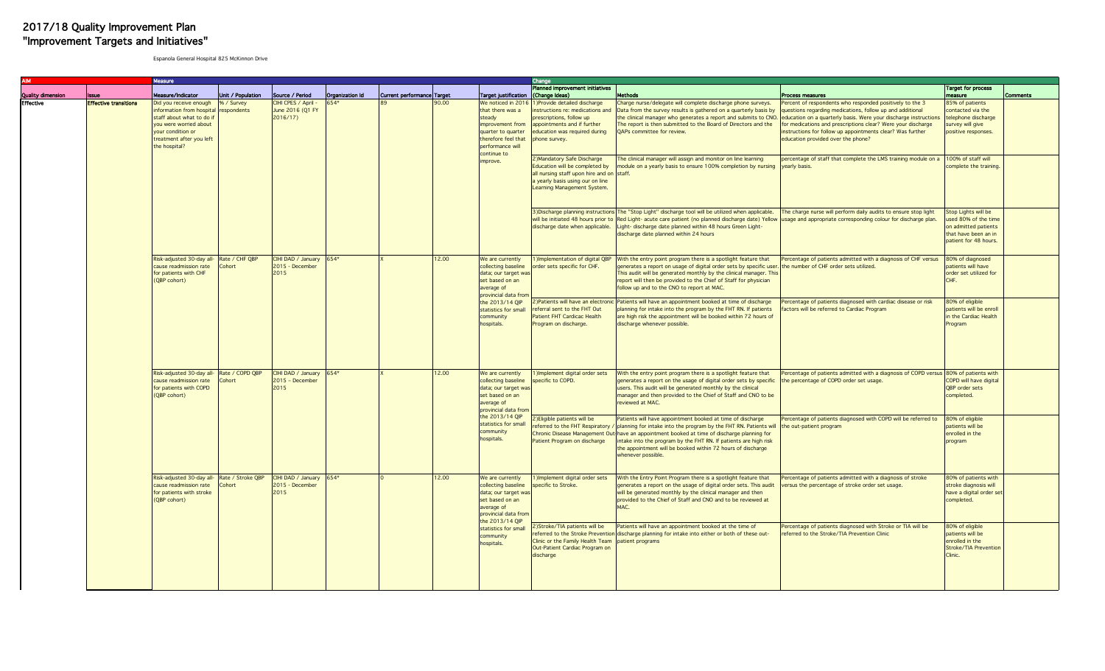## J 2017/18 Quality Improvement Plan "Improvement Targets and Initiatives"

Espanola General Hospital 825 McKinnon Drive

|                   |                              | Vleasure                                                                                                                                                                    |                           |                                                      |                                                 |                                                                                                                                   |                                                                                                                                                             |                                                                                                                                                                                                | Change                                                                                                                                                                        |                                                                                                                                                                                                                                                                                                                                                                                         |                                                                                                                                                                                                                                                                                                                                                              |                                                                                                                      |                 |
|-------------------|------------------------------|-----------------------------------------------------------------------------------------------------------------------------------------------------------------------------|---------------------------|------------------------------------------------------|-------------------------------------------------|-----------------------------------------------------------------------------------------------------------------------------------|-------------------------------------------------------------------------------------------------------------------------------------------------------------|------------------------------------------------------------------------------------------------------------------------------------------------------------------------------------------------|-------------------------------------------------------------------------------------------------------------------------------------------------------------------------------|-----------------------------------------------------------------------------------------------------------------------------------------------------------------------------------------------------------------------------------------------------------------------------------------------------------------------------------------------------------------------------------------|--------------------------------------------------------------------------------------------------------------------------------------------------------------------------------------------------------------------------------------------------------------------------------------------------------------------------------------------------------------|----------------------------------------------------------------------------------------------------------------------|-----------------|
| Quality dimension | lissue                       | Measure/Indicator                                                                                                                                                           | Unit / Population         | Source / Period                                      | Organization Id                                 | Current performance Target                                                                                                        |                                                                                                                                                             | Target justification (Change Ideas)                                                                                                                                                            | Planned improvement initiatives                                                                                                                                               | Methods                                                                                                                                                                                                                                                                                                                                                                                 | Process measures                                                                                                                                                                                                                                                                                                                                             | <b>Target for process</b><br>measure                                                                                 | <b>Comments</b> |
| <b>Effective</b>  | <b>Effective transitions</b> | Did you receive enough<br>nformation from hospital<br>staff about what to do if<br>you were worried about<br>your condition or<br>treatment after you left<br>the hospital? | % / Survey<br>respondents | CIHI CPES / April -<br>June 2016 (Q1 FY<br>2016/17   |                                                 |                                                                                                                                   | 0.00                                                                                                                                                        | We noticed in 2016<br>that there was a<br>steady<br>improvement from<br>quarter to quarter<br>therefore feel that<br>performance will<br>continue to<br>improve.                               | Provide detailed discharge<br>instructions re: medications and<br>prescriptions, follow up<br>appointments and if further<br>education was required during<br>phone survey.   | Charge nurse/delegate will complete discharge phone surveys.<br>Data from the survey results is gathered on a quarterly basis by<br>he clinical manager who generates a report and submits to CNO.<br>The report is then submitted to the Board of Directors and the<br>QAPs committee for review.                                                                                      | ercent of respondents who responded positively to the 3<br>questions regarding medications, follow up and additional<br>education on a quarterly basis. Were your discharge instructions<br>for medications and prescriptions clear? Were your discharge<br>instructions for follow up appointments clear? Was further<br>education provided over the phone? | 85% of patients<br>contacted via the<br>telephone discharge<br>survey will give<br>positive responses.               |                 |
|                   |                              |                                                                                                                                                                             |                           |                                                      |                                                 |                                                                                                                                   |                                                                                                                                                             |                                                                                                                                                                                                | 2) Mandatory Safe Discharge<br>Education will be completed by<br>all nursing staff upon hire and on staff.<br>a yearly basis using our on line<br>Learning Management System. | The clinical manager will assign and monitor on line learning<br>module on a yearly basis to ensure 100% completion by nursing                                                                                                                                                                                                                                                          | percentage of staff that complete the LMS training module on a 100% of staff will<br>yearly basis.                                                                                                                                                                                                                                                           | complete the training.                                                                                               |                 |
|                   |                              |                                                                                                                                                                             |                           |                                                      |                                                 |                                                                                                                                   |                                                                                                                                                             |                                                                                                                                                                                                | discharge date when applicable.                                                                                                                                               | 3) Discharge planning instructions The "Stop Light" discharge tool will be utilized when applicable.<br>will be initiated 48 hours prior to Red Light- acute care patient (no planned discharge date) Yellow<br>Light- discharge date planned within 48 hours Green Light-<br>discharge date planned within 24 hours                                                                    | The charge nurse will perform daily audits to ensure stop light<br>isage and appropriate corresponding colour for discharge plan.                                                                                                                                                                                                                            | Stop Lights will be<br>used 80% of the time<br>on admitted patients<br>that have been an in<br>patient for 48 hours. |                 |
|                   |                              | Risk-adjusted 30-day all- Rate / CHF QBP<br>cause readmission rate<br>for patients with CHF<br>(QBP cohort)                                                                 | Cohort                    | CIHI DAD / January 654*<br>2015 - December<br>2015   |                                                 |                                                                                                                                   | 12.00                                                                                                                                                       | We are currently<br>data; our target was<br>set based on an<br>average of<br>provincial data fron<br>the 2013/14 QIP<br>statistics for small<br>community<br>hospitals.                        | 1) Implementation of digital QBP<br>collecting baseline   order sets specific for CHF.                                                                                        | With the entry point program there is a spotlight feature that<br>generates a report on usage of digital order sets by specific user. the number of CHF order sets utilized.<br>This audit will be generated monthly by the clinical manager. This<br>report will then be provided to the Chief of Staff for physician<br>follow up and to the CNO to report at MAC.                    | Percentage of patients admitted with a diagnosis of CHF versus                                                                                                                                                                                                                                                                                               | 80% of diagnosed<br>patients will have<br>order set utilized for<br>CHF.                                             |                 |
|                   |                              |                                                                                                                                                                             |                           |                                                      |                                                 |                                                                                                                                   |                                                                                                                                                             |                                                                                                                                                                                                | eferral sent to the FHT Out<br>Patient FHT Cardicac Health<br>Program on discharge.                                                                                           | 2) Patients will have an electronic Patients will have an appointment booked at time of discharge<br>planning for intake into the program by the FHT RN. If patients<br>are high risk the appointment will be booked within 72 hours of<br>discharge whenever possible.                                                                                                                 | Percentage of patients diagnosed with cardiac disease or risk<br>ctors will be referred to Cardiac Program                                                                                                                                                                                                                                                   | 80% of eligible<br>patients will be enroll<br>in the Cardiac Health<br>Program                                       |                 |
|                   |                              | Risk-adjusted 30-day all- Rate / COPD QBP<br>cause readmission rate<br>Cohort<br>for patients with COPD<br>(QBP cohort)                                                     |                           | CIHI DAD / January $654*$<br>2015 - December<br>2015 |                                                 |                                                                                                                                   | 12.00                                                                                                                                                       | We are currently<br>collecting baseline<br>data; our target was<br>set based on an<br>average of<br>provincial data from<br>the 2013/14 QIP<br>statistics for small<br>community<br>hospitals. | Inplement digital order sets<br>specific to COPD.                                                                                                                             | With the entry point program there is a spotlight feature that<br>generates a report on the usage of digital order sets by specific   the percentage of COPD order set usage.<br>users. This audit will be generated monthly by the clinical<br>manager and then provided to the Chief of Staff and CNO to be<br>reviewed at MAC.                                                       | Percentage of patients admitted with a diagnosis of COPD versus 80% of patients with                                                                                                                                                                                                                                                                         | COPD will have digital<br>QBP order sets<br>completed.                                                               |                 |
|                   |                              |                                                                                                                                                                             |                           |                                                      |                                                 |                                                                                                                                   |                                                                                                                                                             |                                                                                                                                                                                                | 2) Eligible patients will be<br>eferred to the FHT Respiratory /<br>Patient Program on discharge                                                                              | Patients will have appointment booked at time of discharge<br>planning for intake into the program by the FHT RN. Patients will<br>Chronic Disease Management Out-have an appointment booked at time of discharge planning for<br>intake into the program by the FHT RN. If patients are high risk<br>the appointment will be booked within 72 hours of discharge<br>whenever possible. | Percentage of patients diagnosed with COPD will be referred to<br>he out-patient program                                                                                                                                                                                                                                                                     | 80% of eligible<br>patients will be<br>enrolled in the<br>program                                                    |                 |
|                   |                              | Risk-adjusted 30-day all- Rate / Stroke QBP<br>cause readmission rate<br>for patients with stroke<br>(QBP cohort)                                                           | Cohort                    | CIHI DAD / January 654*<br>2015 - December<br>2015   |                                                 |                                                                                                                                   | 12.00                                                                                                                                                       | We are currently<br>collecting baseline specific to Stroke.<br>data; our target was<br>set based on an<br>average of<br>provincial data from<br>the 2013/14 OIP                                | 1) Implement digital order sets                                                                                                                                               | With the Entry Point Program there is a spotlight feature that<br>generates a report on the usage of digital order sets. This audit<br>will be generated monthly by the clinical manager and then<br>provided to the Chief of Staff and CNO and to be reviewed at<br>MAC.                                                                                                               | Percentage of patients admitted with a diagnosis of stroke<br>versus the percentage of stroke order set usage.                                                                                                                                                                                                                                               | 80% of patients with<br>stroke diagnosis will<br>have a digital order set<br>completed.                              |                 |
|                   |                              |                                                                                                                                                                             |                           |                                                      | statistics for small<br>community<br>hospitals. | 2)Stroke/TIA patients will be<br>Clinic or the Family Health Team patient programs<br>Out-Patient Cardiac Program on<br>discharge | Patients will have an appointment booked at the time of<br>eferred to the Stroke Prevention discharge planning for intake into either or both of these out- | Percentage of patients diagnosed with Stroke or TIA will be<br>eferred to the Stroke/TIA Prevention Clinic                                                                                     | 80% of eligible<br>patients will be<br>enrolled in the<br><b>Stroke/TIA Prevention</b><br>Clinic.                                                                             |                                                                                                                                                                                                                                                                                                                                                                                         |                                                                                                                                                                                                                                                                                                                                                              |                                                                                                                      |                 |
|                   |                              |                                                                                                                                                                             |                           |                                                      |                                                 |                                                                                                                                   |                                                                                                                                                             |                                                                                                                                                                                                |                                                                                                                                                                               |                                                                                                                                                                                                                                                                                                                                                                                         |                                                                                                                                                                                                                                                                                                                                                              |                                                                                                                      |                 |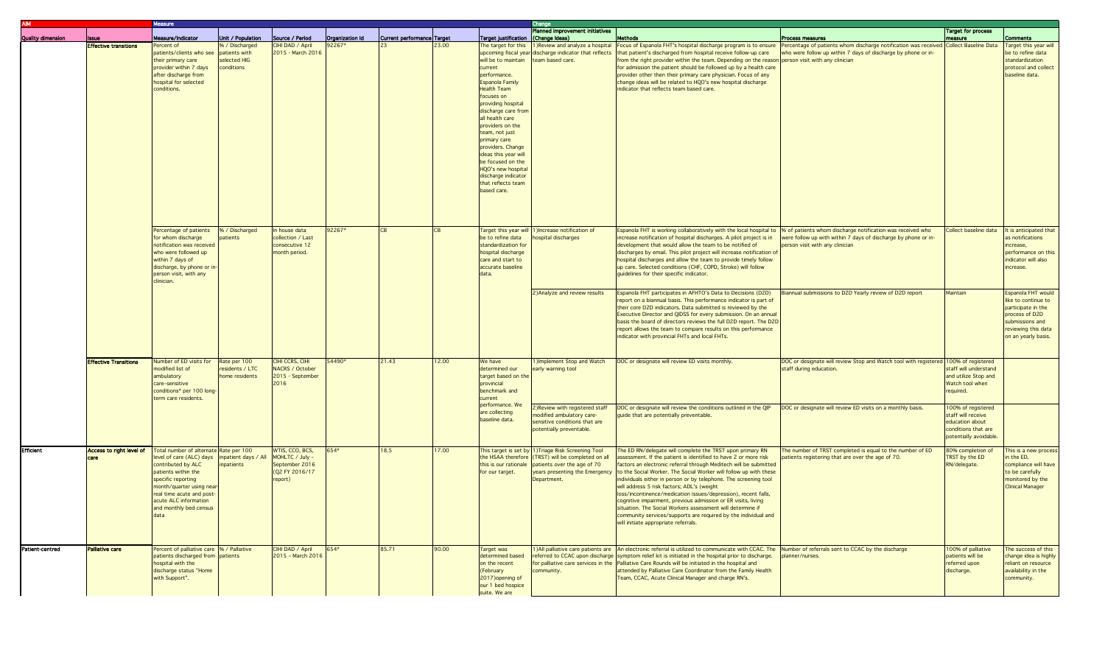|                          |                              | Vleasure                                                                                                                                                                                                                                                  |                                                               |                                                                                   |                   |                            |       |                                                                                                                                                                                                                                                                                                                                                                                                                  | Change                                                                                                                                                  |                                                                                                                                                                                                                                                                                                                                                                                                                                                                                                                                                                                                                                                                                                                                   |                                                                                                                                                                 |                                                                                                             |                                                                                                                                                    |
|--------------------------|------------------------------|-----------------------------------------------------------------------------------------------------------------------------------------------------------------------------------------------------------------------------------------------------------|---------------------------------------------------------------|-----------------------------------------------------------------------------------|-------------------|----------------------------|-------|------------------------------------------------------------------------------------------------------------------------------------------------------------------------------------------------------------------------------------------------------------------------------------------------------------------------------------------------------------------------------------------------------------------|---------------------------------------------------------------------------------------------------------------------------------------------------------|-----------------------------------------------------------------------------------------------------------------------------------------------------------------------------------------------------------------------------------------------------------------------------------------------------------------------------------------------------------------------------------------------------------------------------------------------------------------------------------------------------------------------------------------------------------------------------------------------------------------------------------------------------------------------------------------------------------------------------------|-----------------------------------------------------------------------------------------------------------------------------------------------------------------|-------------------------------------------------------------------------------------------------------------|----------------------------------------------------------------------------------------------------------------------------------------------------|
| <b>Quality dimension</b> | lssue                        | Measure/Indicator                                                                                                                                                                                                                                         | Unit / Population                                             | Source / Period                                                                   | Organization Id   | Current performance Target |       | Target justification (Change Ideas)                                                                                                                                                                                                                                                                                                                                                                              | Planned improvement initiatives                                                                                                                         | <b>Methods</b>                                                                                                                                                                                                                                                                                                                                                                                                                                                                                                                                                                                                                                                                                                                    | Process measures                                                                                                                                                | <b>Target for process</b><br>measure                                                                        | <b>Comments</b>                                                                                                                                    |
|                          | <b>Effective transitions</b> | Percent of<br>patients/clients who see<br>their primary care<br>provider within 7 days<br>after discharge from<br>hospital for selected<br>conditions.                                                                                                    | % / Discharged<br>patients with<br>selected HIG<br>conditions | CIHI DAD / April<br>2015 - March 2016                                             | 2267 <sup>*</sup> |                            | 3.00  | will be to maintain   team based care.<br>current<br>performance.<br><b>Espanola Family</b><br><b>Health Team</b><br>focuses on<br>providing hospital<br>discharge care from<br>all health care<br>providers on the<br>team, not just<br>primary care<br>providers. Change<br>ideas this year will<br>be focused on the<br><b>HQO's new hospital</b><br>discharge indicator<br>that reflects team<br>based care. | upcoming fiscal year discharge indicator that reflects                                                                                                  | The target for this 1) Review and analyze a hospital Focus of Espanola FHT's hospital discharge program is to ensure<br>that patient's discharged from hospital receive follow-up care<br>from the right provider within the team. Depending on the reason person visit with any clinician<br>for admission the patient should be followed up by a health care<br>provider other then their primary care physician. Focus of any<br>change ideas will be related to HQO's new hospital discharge<br>indicator that reflects team based care.                                                                                                                                                                                      | Percentage of patients whom discharge notification was received<br>who were follow up within 7 days of discharge by phone or in-                                | Collect Baseline Data                                                                                       | Target this year will<br>be to refine data<br>standardization<br>protocol and collect<br>baseline data.                                            |
|                          |                              | Percentage of patients<br>for whom discharge<br>notification was received<br>who were followed up<br>within 7 days of<br>discharge, by phone or in<br>person visit, with any<br>clinician.                                                                | % / Discharged<br>atients                                     | n house data<br>collection / Last<br>consecutive 12<br>month period.              | 92267*            | <b>CB</b>                  |       | be to refine data<br>standardization for<br>hospital discharge<br>care and start to<br>accurate baseline<br>data.                                                                                                                                                                                                                                                                                                | Target this year will 1) Increase notification of<br>hospital discharges                                                                                | Espanola FHT is working collaboratively with the local hospital to<br>increase notification of hospital discharges. A pilot project is in<br>development that would allow the team to be notified of<br>discharges by email. This pilot project will increase notification of<br>hospital discharges and allow the team to provide timely follow<br>up care. Selected conditions (CHF, COPD, Stroke) will follow<br>quidelines for their specific indicator.                                                                                                                                                                                                                                                                      | % of patients whom discharge notification was received who<br>were follow up with within 7 days of discharge by phone or in-<br>person visit with any clinician | Collect baseline data                                                                                       | It is anticipated that<br>as notifications<br>increase,<br>performance on this<br>indicator will also<br>increase.                                 |
|                          |                              |                                                                                                                                                                                                                                                           |                                                               |                                                                                   |                   |                            |       |                                                                                                                                                                                                                                                                                                                                                                                                                  | 2) Analyze and review results                                                                                                                           | Espanola FHT participates in AFHTO's Data to Decisions (D2D)<br>report on a biannual basis. This performance indicator is part of<br>their core D2D indicators. Data submitted is reviewed by the<br>Executive Director and QIDSS for every submission. On an annual<br>basis the board of directors reviews the full D2D report. The D2D<br>report allows the team to compare results on this performance<br>indicator with provincial FHTs and local FHTs.                                                                                                                                                                                                                                                                      | Biannual submissions to D2D Yearly review of D2D report                                                                                                         | Maintain                                                                                                    | Espanola FHT would<br>like to continue to<br>participate in the<br>process of D2D<br>submissions and<br>reviewing this data<br>on an yearly basis. |
|                          | <b>Effective Transitions</b> | Number of ED visits for<br>modified list of<br>ambulatory<br>care-sensitive<br>conditions* per 100 long-<br>term care residents.                                                                                                                          | Rate per 100<br>residents / LTC<br>home residents             | CIHI CCRS, CIHI<br>NACRS / October<br>2015 - September<br>2016                    | 54490*            | 21.43                      | 2.00  | We have<br>determined our<br>target based on the<br>provincial<br>benchmark and<br>current                                                                                                                                                                                                                                                                                                                       | 1) Implement Stop and Watch<br>early warning tool                                                                                                       | DOC or designate will review ED visits monthly.                                                                                                                                                                                                                                                                                                                                                                                                                                                                                                                                                                                                                                                                                   | DOC or designate will review Stop and Watch tool with registered<br>staff during education.                                                                     | 100% of registered<br>staff will understand<br>and utilize Stop and<br>Watch tool when<br>required.         |                                                                                                                                                    |
|                          |                              |                                                                                                                                                                                                                                                           |                                                               |                                                                                   |                   |                            |       | performance. We<br>are collecting<br>baseline data.                                                                                                                                                                                                                                                                                                                                                              | 2) Review with registered staff<br>modified ambulatory care-<br>sensitive conditions that are<br>potentially preventable.                               | DOC or designate will review the conditions outlined in the QIP<br>guide that are potentially preventable.                                                                                                                                                                                                                                                                                                                                                                                                                                                                                                                                                                                                                        | DOC or designate will review ED visits on a monthly basis.                                                                                                      | 00% of registered<br>staff will receive<br>education about<br>conditions that are<br>potentially avoidable. |                                                                                                                                                    |
| <b>Efficient</b>         | Access to right level of     | Total number of alternate Rate per 100<br>level of care (ALC) days<br>contributed by ALC<br>patients within the<br>specific reporting<br>month/quarter using near<br>real time acute and post-<br>acute ALC information<br>and monthly bed census<br>data | inpatient days / All<br>inpatients                            | WTIS, CCO, BCS,<br>MOHLTC / July -<br>September 2016<br>(Q2 FY 2016/17<br>report) | 654*              | 18.5                       | 17.00 | this is our rationale<br>for our target.                                                                                                                                                                                                                                                                                                                                                                         | This target is set by 1) Triage Risk Screening Tool<br>the HSAA therefore (TRST) will be completed on all<br>patients over the age of 70<br>Department. | The ED RN/delegate will complete the TRST upon primary RN<br>assessment. If the patient is identified to have 2 or more risk<br>factors an electronic referral through Meditech will be submitted<br>years presenting the Emergency to the Social Worker. The Social Worker will follow up with these<br>individuals either in person or by telephone. The screening tool<br>will address 5 risk factors; ADL's (weight<br>loss/incontinence/medication issues/depression), recent falls<br>cognitive impairment, previous admission or ER visits, living<br>situation. The Social Workers assessment will determine if<br>community services/supports are required by the individual and<br>will initiate appropriate referrals. | The number of TRST completed is equal to the number of ED<br>patients registering that are over the age of 70.                                                  | 80% completion of<br>TRST by the ED<br>RN/delegate.                                                         | This is a new process<br>in the ED,<br>compliance will have<br>to be carefully<br>monitored by the<br><b>Clinical Manager</b>                      |
| Patient-centred          | Palliative care              | Percent of palliative care  % / Palliative<br>patients discharged from patients<br>hospital with the<br>discharge status "Home<br>with Support".                                                                                                          |                                                               | CIHI DAD / April<br>2015 - March 2016                                             | 654*              | 85.71                      | 90.00 | Target was<br>determined based<br>on the recent<br>(February<br>2017) opening of<br>our 1 bed hospice<br>suite. We are                                                                                                                                                                                                                                                                                           | community.                                                                                                                                              | 1) All palliative care patients are An electronic referral is utilized to communicate with CCAC. The Number of referrals sent to CCAC by the discharge<br>referred to CCAC upon discharge symptom relief kit is initiated in the hospital prior to discharge.<br>for palliative care services in the Palliative Care Rounds will be initiated in the hospital and<br>attended by Palliative Care Coordinator from the Family Health<br>Team, CCAC, Acute Clinical Manager and charge RN's.                                                                                                                                                                                                                                        | planner/nurses.                                                                                                                                                 | 100% of palliative<br>patients will be<br>referred upon<br>discharge.                                       | The success of this<br>change idea is highly<br>reliant on resource<br>availability in the<br>community.                                           |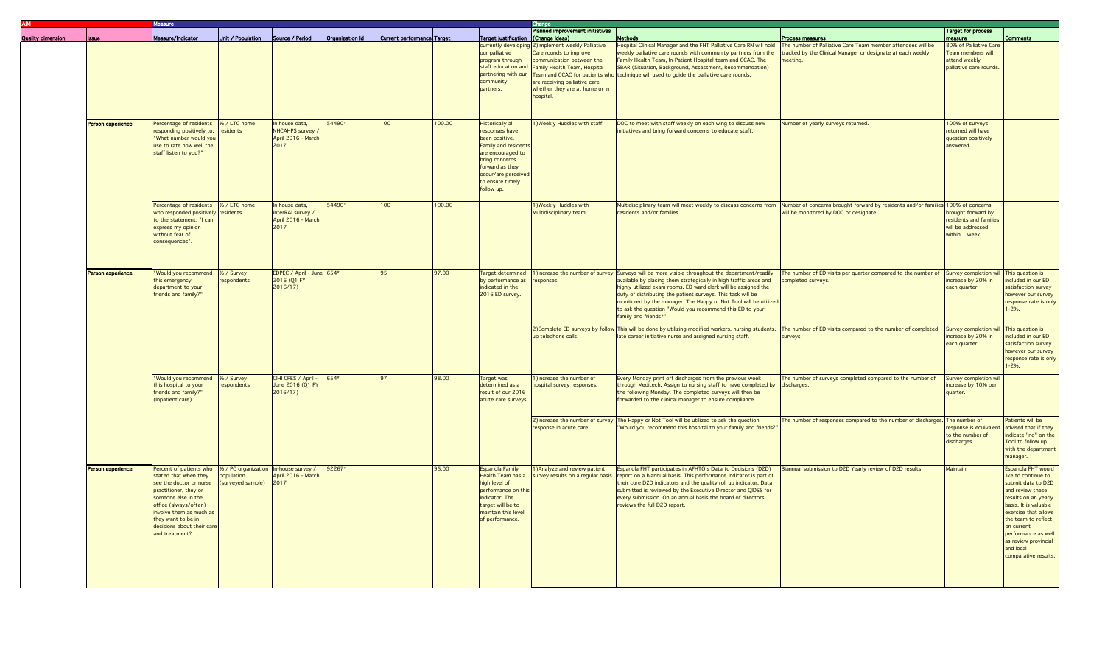|                          | Vleasure                                                                                                                                                                                                                                              |                                                                        |                                                                 |                 |                            |        |                                                                                                                                                                                                 | Change                                                                                                                                                                                                                                         |                                                                                                                                                                                                                                                                                                                                                                                                                                                                                 |                                                                                                                                                                                             |                                                                                         |                                                                                                                                                                                                                                                                                      |
|--------------------------|-------------------------------------------------------------------------------------------------------------------------------------------------------------------------------------------------------------------------------------------------------|------------------------------------------------------------------------|-----------------------------------------------------------------|-----------------|----------------------------|--------|-------------------------------------------------------------------------------------------------------------------------------------------------------------------------------------------------|------------------------------------------------------------------------------------------------------------------------------------------------------------------------------------------------------------------------------------------------|---------------------------------------------------------------------------------------------------------------------------------------------------------------------------------------------------------------------------------------------------------------------------------------------------------------------------------------------------------------------------------------------------------------------------------------------------------------------------------|---------------------------------------------------------------------------------------------------------------------------------------------------------------------------------------------|-----------------------------------------------------------------------------------------|--------------------------------------------------------------------------------------------------------------------------------------------------------------------------------------------------------------------------------------------------------------------------------------|
| <b>Issue</b>             | Measure/Indicator                                                                                                                                                                                                                                     | Unit / Population                                                      | Source / Period                                                 | Organization Id | Current performance Target |        | Target justification (Change Ideas)                                                                                                                                                             | <b>Planned improvement initiatives</b>                                                                                                                                                                                                         | Methods                                                                                                                                                                                                                                                                                                                                                                                                                                                                         | Process measures                                                                                                                                                                            | <b>Target for process</b><br>measure                                                    | <b>Comments</b>                                                                                                                                                                                                                                                                      |
|                          |                                                                                                                                                                                                                                                       |                                                                        |                                                                 |                 |                            |        | our palliative<br>program through<br>community<br>partners.                                                                                                                                     | currently developing 2) Implement weekly Palliative<br>Care rounds to improve<br>communication between the<br>staff education and Family Health Team, Hospital<br>are receiving palliative care<br>whether they are at home or in<br>hospital. | Hospital Clinical Manager and the FHT Palliative Care RN will hold<br>weekly palliative care rounds with community partners from the<br>Family Health Team, In-Patient Hospital team and CCAC. The<br>SBAR (Situation, Background, Assessment, Recommendation)<br>partnering with our Team and CCAC for patients who technique will used to guide the palliative care rounds.                                                                                                   | The number of Palliative Care Team member attendees will be<br>tracked by the Clinical Manager or designate at each weekly<br>meeting.                                                      | 80% of Palliative Care<br>Team members will<br>attend weekly<br>palliative care rounds. |                                                                                                                                                                                                                                                                                      |
| <b>Person experience</b> | Percentage of residents \% / LTC home<br>esponding positively to:<br>"What number would you<br>use to rate how well the<br>staff listen to you?"                                                                                                      | residents                                                              | n house data,<br>NHCAHPS survey /<br>April 2016 - March<br>2017 | 54490*          | 100                        | 100.00 | Historically all<br>responses have<br>been positive.<br>Family and residents<br>are encouraged to<br>bring concerns<br>forward as they<br>occur/are perceived<br>to ensure timely<br>follow up. | 1) Weekly Huddles with staff.                                                                                                                                                                                                                  | DOC to meet with staff weekly on each wing to discuss new<br>initiatives and bring forward concerns to educate staff.                                                                                                                                                                                                                                                                                                                                                           | Number of yearly surveys returned.                                                                                                                                                          | 100% of surveys<br>returned will have<br>question positively<br>answered.               |                                                                                                                                                                                                                                                                                      |
|                          | Percentage of residents  % / LTC home<br>who responded positively<br>to the statement: "I can<br>express my opinion<br>without fear of<br>consequences".                                                                                              | residents                                                              | n house data,<br>nterRAI survey /<br>April 2016 - March<br>2017 | 54490*          | 100                        | 100.00 |                                                                                                                                                                                                 | 1) Weekly Huddles with<br>Multidisciplinary team                                                                                                                                                                                               | residents and/or families.                                                                                                                                                                                                                                                                                                                                                                                                                                                      | Multidisciplinary team will meet weekly to discuss concerns from Number of concerns brought forward by residents and/or families 100% of concerns<br>will be monitored by DOC or designate. | brought forward by<br>residents and families<br>will be addressed<br>within 1 week.     |                                                                                                                                                                                                                                                                                      |
| Person experience        | "Would you recommend<br>this emergency<br>department to your<br>friends and family?"                                                                                                                                                                  | % / Survey<br>espondents                                               | EDPEC / April - June 654*<br>2016 (Q1 FY<br>2016/17             |                 | 95                         | 97.00  | by performance as<br>indicated in the<br>2016 ED survey.                                                                                                                                        | responses                                                                                                                                                                                                                                      | Target determined 1) Increase the number of survey Surveys will be more visible throughout the department/readily<br>available by placing them strategically in high traffic areas and<br>highly utilized exam rooms. ED ward clerk will be assigned the<br>duty of distributing the patient surveys. This task will be<br>monitored by the manager. The Happy or Not Tool will be utilized<br>to ask the question "Would you recommend this ED to your<br>family and friends?" | The number of ED visits per quarter compared to the number of Survey completion will This question is<br>completed surveys.                                                                 | increase by 20% in<br>each quarter.                                                     | ncluded in our ED<br>satisfaction survey<br>however our survey<br>response rate is only<br>$1 - 2%$ .                                                                                                                                                                                |
|                          |                                                                                                                                                                                                                                                       |                                                                        |                                                                 |                 |                            |        |                                                                                                                                                                                                 | up telephone calls.                                                                                                                                                                                                                            | 2) Complete ED surveys by follow This will be done by utilizing modified workers, nursing students,<br>late career initiative nurse and assigned nursing staff.                                                                                                                                                                                                                                                                                                                 | The number of ED visits compared to the number of completed<br>surveys.                                                                                                                     | Survey completion will<br>increase by 20% in<br>each quarter.                           | This question is<br>ncluded in our ED<br>satisfaction survey<br>however our survey<br>response rate is only<br>$-2%$ .                                                                                                                                                               |
|                          | "Would you recommend<br>this hospital to your<br>riends and family?"<br>(Inpatient care)                                                                                                                                                              | % / Survey<br>respondents                                              | CIHI CPES / April -<br>June 2016 (Q1 FY<br>2016/17)             | 654*            | 97                         | 98.00  | Target was<br>determined as a<br>result of our 2016<br>acute care surveys                                                                                                                       | 1) Increase the number of<br>hospital survey responses.                                                                                                                                                                                        | Every Monday print off discharges from the previous week<br>through Meditech. Assign to nursing staff to have completed by discharges.<br>the following Monday. The completed surveys will then be<br>forwarded to the clinical manager to ensure compliance.                                                                                                                                                                                                                   | The number of surveys completed compared to the number of                                                                                                                                   | Survey completion will<br>increase by 10% per<br>quarter.                               |                                                                                                                                                                                                                                                                                      |
|                          |                                                                                                                                                                                                                                                       |                                                                        |                                                                 |                 |                            |        |                                                                                                                                                                                                 | response in acute care.                                                                                                                                                                                                                        | 2) Increase the number of survey The Happy or Not Tool will be utilized to ask the question,<br>"Would you recommend this hospital to your family and friends?                                                                                                                                                                                                                                                                                                                  | The number of responses compared to the number of discharges. The number of                                                                                                                 | esponse is equivalent<br>to the number of<br>discharges.                                | Patients will be<br>advised that if they<br>indicate "no" on the<br>Tool to follow up<br>with the department<br>manager.                                                                                                                                                             |
| Person experience        | Percent of patients who<br>stated that when they<br>see the doctor or nurse<br>practitioner, they or<br>someone else in the<br>office (always/often)<br>involve them as much as<br>they want to be in<br>decisions about their care<br>and treatment? | % / PC organization In-house survey /<br>opulation<br>surveyed sample) | April 2016 - March<br>2017                                      | 92267*          |                            | 95.00  | <b>Espanola Family</b><br>lealth Team has a<br>high level of<br>performance on this<br>indicator. The<br>target will be to<br>maintain this level<br>of performance.                            | 1) Analyze and review patient<br>survey results on a regular basis                                                                                                                                                                             | Espanola FHT participates in AFHTO's Data to Decisions (D2D)<br>report on a biannual basis. This performance indicator is part of<br>their core D2D indicators and the quality roll up indicator. Data<br>submitted is reviewed by the Executive Director and QIDSS for<br>every submission. On an annual basis the board of directors<br>reviews the full D2D report.                                                                                                          | Biannual submission to D2D Yearly review of D2D results                                                                                                                                     | Maintain                                                                                | Espanola FHT would<br>ike to continue to<br>submit data to D2D<br>and review these<br>results on an yearly<br>basis. It is valuable<br>exercise that allows<br>the team to reflect<br>on current<br>performance as well<br>as review provincial<br>and local<br>comparative results. |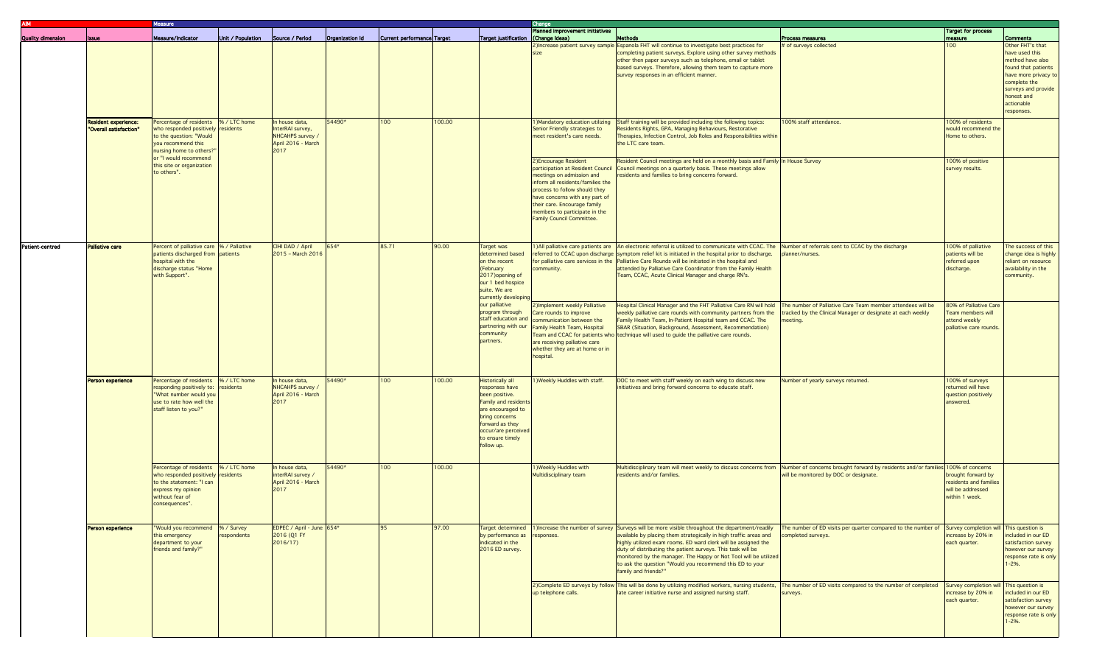| <b>AIM</b>        |                                                       | <b>Aeasure</b>                                                                                                                                                     |                   |                                                                  |                                                                                      |                            |        |                                                                                                                                                                                                        | Change                                                                                                                                                                                                                                                                                               |                                                                                                                                                                                                                                                                                                                                                                                                                                                                 |                                                                                                                                                                                                                         |                                                                                         |                                                                                                                                                                                                           |  |
|-------------------|-------------------------------------------------------|--------------------------------------------------------------------------------------------------------------------------------------------------------------------|-------------------|------------------------------------------------------------------|--------------------------------------------------------------------------------------|----------------------------|--------|--------------------------------------------------------------------------------------------------------------------------------------------------------------------------------------------------------|------------------------------------------------------------------------------------------------------------------------------------------------------------------------------------------------------------------------------------------------------------------------------------------------------|-----------------------------------------------------------------------------------------------------------------------------------------------------------------------------------------------------------------------------------------------------------------------------------------------------------------------------------------------------------------------------------------------------------------------------------------------------------------|-------------------------------------------------------------------------------------------------------------------------------------------------------------------------------------------------------------------------|-----------------------------------------------------------------------------------------|-----------------------------------------------------------------------------------------------------------------------------------------------------------------------------------------------------------|--|
|                   |                                                       | Measure/Indicator                                                                                                                                                  | Unit / Population | Source / Period                                                  |                                                                                      |                            |        |                                                                                                                                                                                                        | Planned improvement initiatives                                                                                                                                                                                                                                                                      |                                                                                                                                                                                                                                                                                                                                                                                                                                                                 |                                                                                                                                                                                                                         | <b>Target for process</b>                                                               |                                                                                                                                                                                                           |  |
| Quality dimension | <b>Issue</b>                                          |                                                                                                                                                                    |                   |                                                                  | Organization Id                                                                      | Current performance Target |        | Target justification (Change Ideas)                                                                                                                                                                    |                                                                                                                                                                                                                                                                                                      | <b>Methods</b><br>2) Increase patient survey sample Espanola FHT will continue to investigate best practices for<br>completing patient surveys. Explore using other survey methods<br>other then paper surveys such as telephone, email or tablet<br>based surveys. Therefore, allowing them team to capture more<br>survey responses in an efficient manner.                                                                                                   | Process measures<br># of surveys collected                                                                                                                                                                              | measure<br>100                                                                          | <b>Comments</b><br>Other FHT's that<br>have used this<br>method have also<br>found that patients<br>have more privacy to<br>complete the<br>surveys and provide<br>honest and<br>actionable<br>responses. |  |
|                   | <b>Resident experience:</b><br>"Overall satisfaction" | Percentage of residents  % / LTC home<br>who responded positively residents<br>to the question: "Would<br>you recommend this<br>nursing home to others?'           |                   |                                                                  | In house data,<br>InterRAI survey,<br>NHCAHPS survey /<br>April 2016 - March<br>2017 | 54490*                     | 100    | 100.00                                                                                                                                                                                                 |                                                                                                                                                                                                                                                                                                      | 1) Mandatory education utilizing<br>Senior Friendly strategies to<br>meet resident's care needs.                                                                                                                                                                                                                                                                                                                                                                | Staff training will be provided including the following topics:<br>Residents Rights, GPA, Managing Behaviours, Restorative<br>Therapies, Infection Control, Job Roles and Responsibilities within<br>the LTC care team. | 100% staff attendance.                                                                  | 100% of residents<br>would recommend the<br>Home to others.                                                                                                                                               |  |
|                   |                                                       | or "I would recommend<br>this site or organization<br>to others".                                                                                                  |                   |                                                                  |                                                                                      |                            |        |                                                                                                                                                                                                        | 2) Encourage Resident<br>participation at Resident Council<br>meetings on admission and<br>inform all residents/families the<br>process to follow should they<br>have concerns with any part of<br>their care. Encourage family<br>members to participate in the<br><b>Family Council Committee.</b> | Resident Council meetings are held on a monthly basis and Family In House Survey<br>Council meetings on a quarterly basis. These meetings allow<br>residents and families to bring concerns forward.                                                                                                                                                                                                                                                            |                                                                                                                                                                                                                         | 100% of positive<br>survey results.                                                     |                                                                                                                                                                                                           |  |
| Patient centred   | <b>Palliative care</b>                                | Percent of palliative care  % / Palliative<br>patients discharged from patients<br>hospital with the<br>discharge status "Home<br>with Support".                   |                   | CIHI DAD / April<br>2015 - March 2016                            | 654*                                                                                 | 85.71                      | 90.00  | Target was<br>determined based<br>on the recent<br>(February<br>2017) opening of<br>our 1 bed hospice<br>suite. We are<br>currently developin                                                          | community.                                                                                                                                                                                                                                                                                           | 1) All palliative care patients are   An electronic referral is utilized to communicate with CCAC. The<br>referred to CCAC upon discharge symptom relief kit is initiated in the hospital prior to discharge.<br>for palliative care services in the $\sqrt{\frac{2}{1}}$ Palliative Care Rounds will be initiated in the hospital and<br>attended by Palliative Care Coordinator from the Family Health<br>Team, CCAC, Acute Clinical Manager and charge RN's. | Number of referrals sent to CCAC by the discharge<br>planner/nurses.                                                                                                                                                    | 100% of palliative<br>patients will be<br>referred upon<br>discharge.                   | The success of this<br>change idea is highly<br>reliant on resource<br>availability in the<br>community.                                                                                                  |  |
|                   |                                                       |                                                                                                                                                                    |                   |                                                                  |                                                                                      |                            |        | our palliative<br>program through<br>staff education and<br>partnering with our<br>community<br>partners.                                                                                              | 2) Implement weekly Palliative<br>Care rounds to improve<br>communication between the<br>Family Health Team, Hospital<br>are receiving palliative care<br>whether they are at home or in<br>hospital.                                                                                                | Hospital Clinical Manager and the FHT Palliative Care RN will hold<br>weekly palliative care rounds with community partners from the<br>Family Health Team, In-Patient Hospital team and CCAC. The<br>SBAR (Situation, Background, Assessment, Recommendation)<br>Team and CCAC for patients who technique will used to guide the palliative care rounds.                                                                                                       | The number of Palliative Care Team member attendees will be<br>tracked by the Clinical Manager or designate at each weekly<br>meeting.                                                                                  | 80% of Palliative Care<br>Team members will<br>attend weekly<br>palliative care rounds. |                                                                                                                                                                                                           |  |
|                   | Person experience                                     | Percentage of residents  % / LTC home<br>responding positively to:<br>"What number would you<br>use to rate how well the<br>staff listen to you?"                  | residents         | In house data,<br>NHCAHPS survey /<br>April 2016 - March<br>2017 | 54490*                                                                               | 100                        | 100.00 | <b>Historically all</b><br>responses have<br>been positive.<br>Family and residents<br>are encouraged to<br>bring concerns<br>forward as they<br>occur/are perceived<br>to ensure timely<br>follow up. | 1) Weekly Huddles with staff.                                                                                                                                                                                                                                                                        | DOC to meet with staff weekly on each wing to discuss new<br>initiatives and bring forward concerns to educate staff.                                                                                                                                                                                                                                                                                                                                           | Number of yearly surveys returned.                                                                                                                                                                                      | 100% of surveys<br>returned will have<br>question positively<br>answered.               |                                                                                                                                                                                                           |  |
|                   |                                                       | Percentage of residents  % / LTC home<br>who responded positively residents<br>to the statement: "I can<br>express my opinion<br>without fear of<br>consequences". |                   | n house data,<br>interRAI survey /<br>April 2016 - March<br>2017 | 54490*                                                                               | 100                        | 100.00 |                                                                                                                                                                                                        | <b>I)Weekly Huddles with</b><br>Multidisciplinary team                                                                                                                                                                                                                                               | Multidisciplinary team will meet weekly to discuss concerns from<br>residents and/or families.                                                                                                                                                                                                                                                                                                                                                                  | Number of concerns brought forward by residents and/or families 100% of concerns<br>will be monitored by DOC or designate.                                                                                              | brought forward by<br>residents and families<br>will be addressed<br>within 1 week.     |                                                                                                                                                                                                           |  |
|                   | <b>Person experience</b>                              | "Would you recommend  % / Survey<br>this emergency<br>department to your<br>friends and family?"                                                                   | espondents        | EDPEC / April - June 654*<br>2016 (Q1 FY<br>2016/17              |                                                                                      | 95                         | 97.00  | Target determined<br>by performance as<br>indicated in the<br>2016 ED survey.                                                                                                                          | responses.                                                                                                                                                                                                                                                                                           | 1) Increase the number of survey Surveys will be more visible throughout the department/readily<br>available by placing them strategically in high traffic areas and<br>highly utilized exam rooms. ED ward clerk will be assigned the<br>duty of distributing the patient surveys. This task will be<br>monitored by the manager. The Happy or Not Tool will be utilized<br>to ask the question "Would you recommend this ED to your<br>family and friends?"   | The number of ED visits per quarter compared to the number of Survey completion will This question is<br>completed surveys.                                                                                             | increase by 20% in<br>each quarter.                                                     | included in our ED<br>satisfaction survey<br>however our survey<br>response rate is only<br>$1 - 2%$ .                                                                                                    |  |
|                   |                                                       |                                                                                                                                                                    |                   |                                                                  |                                                                                      |                            |        |                                                                                                                                                                                                        | up telephone calls.                                                                                                                                                                                                                                                                                  | 2)Complete ED surveys by follow This will be done by utilizing modified workers, nursing students,<br>late career initiative nurse and assigned nursing staff.                                                                                                                                                                                                                                                                                                  | The number of ED visits compared to the number of completed<br>surveys.                                                                                                                                                 | Survey completion will This question is<br>increase by 20% in<br>each quarter.          | included in our ED<br>satisfaction survey<br>however our survey<br>response rate is only<br>$1 - 2%$ .                                                                                                    |  |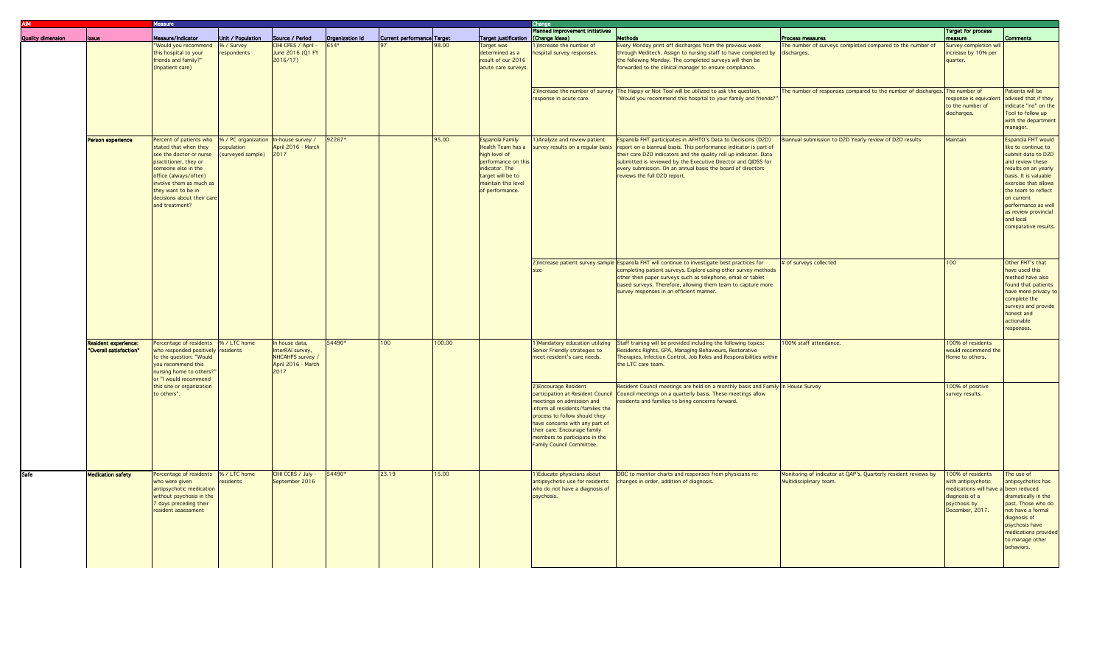| <b>AIM</b>               | <b>Aeasure</b>              |                                                                |                   |                     |                 |                            |        |                                     | Change                            |                                                                                                |                                                                             |                                      |                       |
|--------------------------|-----------------------------|----------------------------------------------------------------|-------------------|---------------------|-----------------|----------------------------|--------|-------------------------------------|-----------------------------------|------------------------------------------------------------------------------------------------|-----------------------------------------------------------------------------|--------------------------------------|-----------------------|
|                          |                             |                                                                |                   |                     |                 |                            |        |                                     | Planned improvement initiatives   |                                                                                                |                                                                             | <b>Target for process</b>            |                       |
| <b>Quality dimension</b> | leena.                      | Measure/Indicator                                              | Unit / Population | Source / Period     | Organization Id | Current performance Target |        | Target justification (Change Ideas) |                                   | Methods                                                                                        | Process measures                                                            | neasure                              | <b>Comments</b>       |
|                          |                             | "Would you recommend  % / Survey                               |                   | CIHI CPES / April - | 654*            |                            | 98.00  | Target was                          | )Increase the number of           | Every Monday print off discharges from the previous week                                       | The number of surveys completed compared to the number of                   | Survey completion will               |                       |
|                          |                             | this hospital to your                                          | respondents       | June 2016 (Q1 FY    |                 |                            |        | determined as a                     | hospital survey responses.        | through Meditech. Assign to nursing staff to have completed by discharges.                     |                                                                             | increase by 10% per                  |                       |
|                          |                             | riends and family?"                                            |                   | 2016/17             |                 |                            |        | result of our 2016                  |                                   | the following Monday. The completed surveys will then be                                       |                                                                             | quarter.                             |                       |
|                          |                             | (Inpatient care)                                               |                   |                     |                 |                            |        | acute care surveys.                 |                                   | forwarded to the clinical manager to ensure compliance.                                        |                                                                             |                                      |                       |
|                          |                             |                                                                |                   |                     |                 |                            |        |                                     |                                   |                                                                                                |                                                                             |                                      |                       |
|                          |                             |                                                                |                   |                     |                 |                            |        |                                     |                                   |                                                                                                |                                                                             |                                      |                       |
|                          |                             |                                                                |                   |                     |                 |                            |        |                                     |                                   | 2) Increase the number of survey The Happy or Not Tool will be utilized to ask the question,   | The number of responses compared to the number of discharges. The number of |                                      | Patients will be      |
|                          |                             |                                                                |                   |                     |                 |                            |        |                                     | esponse in acute care.            | "Would you recommend this hospital to your family and friends?"                                |                                                                             | esponse is equivalent                | advised that if they  |
|                          |                             |                                                                |                   |                     |                 |                            |        |                                     |                                   |                                                                                                |                                                                             | to the number of                     | indicate "no" on the  |
|                          |                             |                                                                |                   |                     |                 |                            |        |                                     |                                   |                                                                                                |                                                                             | discharges.                          | Tool to follow up     |
|                          |                             |                                                                |                   |                     |                 |                            |        |                                     |                                   |                                                                                                |                                                                             |                                      | with the department   |
|                          |                             |                                                                |                   |                     |                 |                            |        |                                     |                                   |                                                                                                |                                                                             |                                      | nanager.              |
|                          | <b>Person experience</b>    | ercent of patients who  % / PC organization  In-house survey / |                   |                     | 92267*          |                            | 95.00  | Espanola Family                     | 1) Analyze and review patient     | Espanola FHT participates in AFHTO's Data to Decisions (D2D)                                   | Biannual submission to D2D Yearly review of D2D results                     | Maintain                             | Espanola FHT would    |
|                          |                             | stated that when they                                          | population        | April 2016 - March  |                 |                            |        | Health Team has a                   | survey results on a regular basis | report on a biannual basis. This performance indicator is part of                              |                                                                             |                                      | like to continue to   |
|                          |                             | see the doctor or nurse                                        | (surveyed sample) | 2017                |                 |                            |        | high level of                       |                                   | their core D2D indicators and the quality roll up indicator. Data                              |                                                                             |                                      | submit data to D2D    |
|                          |                             | practitioner, they or                                          |                   |                     |                 |                            |        | performance on this                 |                                   | submitted is reviewed by the Executive Director and QIDSS for                                  |                                                                             |                                      | and review these      |
|                          |                             | someone else in the                                            |                   |                     |                 |                            |        | indicator. The                      |                                   | every submission. On an annual basis the board of directors                                    |                                                                             |                                      | results on an yearly  |
|                          |                             | office (always/often)                                          |                   |                     |                 |                            |        | target will be to                   |                                   | reviews the full D2D report.                                                                   |                                                                             |                                      | basis. It is valuable |
|                          |                             | involve them as much as                                        |                   |                     |                 |                            |        | maintain this level                 |                                   |                                                                                                |                                                                             |                                      | exercise that allows  |
|                          |                             | hey want to be in                                              |                   |                     |                 |                            |        | of performance.                     |                                   |                                                                                                |                                                                             |                                      | the team to reflect   |
|                          |                             | decisions about their care                                     |                   |                     |                 |                            |        |                                     |                                   |                                                                                                |                                                                             |                                      | on current            |
|                          |                             | and treatment?                                                 |                   |                     |                 |                            |        |                                     |                                   |                                                                                                |                                                                             |                                      | performance as well   |
|                          |                             |                                                                |                   |                     |                 |                            |        |                                     |                                   |                                                                                                |                                                                             |                                      | as review provincial  |
|                          |                             |                                                                |                   |                     |                 |                            |        |                                     |                                   |                                                                                                |                                                                             |                                      | and local             |
|                          |                             |                                                                |                   |                     |                 |                            |        |                                     |                                   |                                                                                                |                                                                             |                                      | comparative results.  |
|                          |                             |                                                                |                   |                     |                 |                            |        |                                     |                                   |                                                                                                |                                                                             |                                      |                       |
|                          |                             |                                                                |                   |                     |                 |                            |        |                                     |                                   |                                                                                                |                                                                             |                                      |                       |
|                          |                             |                                                                |                   |                     |                 |                            |        |                                     |                                   |                                                                                                |                                                                             |                                      |                       |
|                          |                             |                                                                |                   |                     |                 |                            |        |                                     |                                   |                                                                                                |                                                                             |                                      |                       |
|                          |                             |                                                                |                   |                     |                 |                            |        |                                     |                                   | 2) Increase patient survey sample Espanola FHT will continue to investigate best practices for | # of surveys collected                                                      | 100                                  | Other FHT's that      |
|                          |                             |                                                                |                   |                     |                 |                            |        |                                     |                                   | completing patient surveys. Explore using other survey methods                                 |                                                                             |                                      | have used this        |
|                          |                             |                                                                |                   |                     |                 |                            |        |                                     |                                   | other then paper surveys such as telephone, email or tablet                                    |                                                                             |                                      | method have also      |
|                          |                             |                                                                |                   |                     |                 |                            |        |                                     |                                   | based surveys. Therefore, allowing them team to capture more                                   |                                                                             |                                      | found that patients   |
|                          |                             |                                                                |                   |                     |                 |                            |        |                                     |                                   | survey responses in an efficient manner.                                                       |                                                                             |                                      | have more privacy to  |
|                          |                             |                                                                |                   |                     |                 |                            |        |                                     |                                   |                                                                                                |                                                                             |                                      | complete the          |
|                          |                             |                                                                |                   |                     |                 |                            |        |                                     |                                   |                                                                                                |                                                                             |                                      | surveys and provide   |
|                          |                             |                                                                |                   |                     |                 |                            |        |                                     |                                   |                                                                                                |                                                                             |                                      | honest and            |
|                          |                             |                                                                |                   |                     |                 |                            |        |                                     |                                   |                                                                                                |                                                                             |                                      | actionable            |
|                          |                             |                                                                |                   |                     |                 |                            |        |                                     |                                   |                                                                                                |                                                                             |                                      | responses.            |
|                          |                             |                                                                |                   |                     |                 |                            |        |                                     |                                   |                                                                                                |                                                                             |                                      |                       |
|                          | <b>Resident experience:</b> | Percentage of residents % / LTC home                           |                   | In house data,      | 54490*          | 100                        | 100.00 |                                     | Mandatory education utilizing     | Staff training will be provided including the following topics:                                | 100% staff attendance.                                                      | 100% of residents                    |                       |
|                          | "Overall satisfaction"      | who responded positively residents                             |                   | InterRAI survey,    |                 |                            |        |                                     | Senior Friendly strategies to     | Residents Rights, GPA, Managing Behaviours, Restorative                                        |                                                                             | would recommend the                  |                       |
|                          |                             | to the question: "Would                                        |                   | NHCAHPS survey      |                 |                            |        |                                     | meet resident's care needs.       | Therapies, Infection Control, Job Roles and Responsibilities within                            |                                                                             | Home to others.                      |                       |
|                          |                             | you recommend this                                             |                   | April 2016 - March  |                 |                            |        |                                     |                                   | the LTC care team.                                                                             |                                                                             |                                      |                       |
|                          |                             | nursing home to others?'                                       |                   | 2017                |                 |                            |        |                                     |                                   |                                                                                                |                                                                             |                                      |                       |
|                          |                             | or "I would recommend                                          |                   |                     |                 |                            |        |                                     |                                   |                                                                                                |                                                                             |                                      |                       |
|                          |                             | this site or organization                                      |                   |                     |                 |                            |        |                                     | 2) Encourage Resident             | Resident Council meetings are held on a monthly basis and Family In House Survey               |                                                                             | 100% of positive                     |                       |
|                          |                             | to others".                                                    |                   |                     |                 |                            |        |                                     | participation at Resident Council | Council meetings on a quarterly basis. These meetings allow                                    |                                                                             | survey results.                      |                       |
|                          |                             |                                                                |                   |                     |                 |                            |        |                                     | meetings on admission and         | residents and families to bring concerns forward.                                              |                                                                             |                                      |                       |
|                          |                             |                                                                |                   |                     |                 |                            |        |                                     | inform all residents/families the |                                                                                                |                                                                             |                                      |                       |
|                          |                             |                                                                |                   |                     |                 |                            |        |                                     | process to follow should they     |                                                                                                |                                                                             |                                      |                       |
|                          |                             |                                                                |                   |                     |                 |                            |        |                                     | have concerns with any part of    |                                                                                                |                                                                             |                                      |                       |
|                          |                             |                                                                |                   |                     |                 |                            |        |                                     | their care. Encourage family      |                                                                                                |                                                                             |                                      |                       |
|                          |                             |                                                                |                   |                     |                 |                            |        |                                     | members to participate in the     |                                                                                                |                                                                             |                                      |                       |
|                          |                             |                                                                |                   |                     |                 |                            |        |                                     | Family Council Committee.         |                                                                                                |                                                                             |                                      |                       |
|                          |                             |                                                                |                   |                     |                 |                            |        |                                     |                                   |                                                                                                |                                                                             |                                      |                       |
|                          |                             |                                                                |                   |                     |                 |                            |        |                                     |                                   |                                                                                                |                                                                             |                                      |                       |
| Safe                     | <b>Medication safety</b>    | Percentage of residents % / LTC home                           |                   | CIHI CCRS / July -  | 54490*          | 23.19                      | 15.00  |                                     | 1) Educate physicians about       | DOC to monitor charts and responses from physicians re:                                        | Monitoring of indicator at QAP's. Quarterly resident reviews by             | 100% of residents                    | The use of            |
|                          |                             | who were given                                                 | esidents          | September 2016      |                 |                            |        |                                     | antipsychotic use for residents   | changes in order, addition of diagnosis.                                                       | Multidisciplinary team.                                                     | with antipsychotic                   | antipsychotics has    |
|                          |                             | antipsychotic medication                                       |                   |                     |                 |                            |        |                                     | who do not have a diagnosis of    |                                                                                                |                                                                             | nedications will have a been reduced |                       |
|                          |                             | without psychosis in the                                       |                   |                     |                 |                            |        |                                     | psychosis.                        |                                                                                                |                                                                             | diagnosis of a                       | dramatically in the   |
|                          |                             | days preceding their                                           |                   |                     |                 |                            |        |                                     |                                   |                                                                                                |                                                                             | psychosis by                         | past. Those who do    |
|                          |                             | esident assessment                                             |                   |                     |                 |                            |        |                                     |                                   |                                                                                                |                                                                             | December, 2017.                      | not have a formal     |
|                          |                             |                                                                |                   |                     |                 |                            |        |                                     |                                   |                                                                                                |                                                                             |                                      | diagnosis of          |
|                          |                             |                                                                |                   |                     |                 |                            |        |                                     |                                   |                                                                                                |                                                                             |                                      | psychosis have        |
|                          |                             |                                                                |                   |                     |                 |                            |        |                                     |                                   |                                                                                                |                                                                             |                                      | medications provided  |
|                          |                             |                                                                |                   |                     |                 |                            |        |                                     |                                   |                                                                                                |                                                                             |                                      | to manage other       |
|                          |                             |                                                                |                   |                     |                 |                            |        |                                     |                                   |                                                                                                |                                                                             |                                      |                       |
|                          |                             |                                                                |                   |                     |                 |                            |        |                                     |                                   |                                                                                                |                                                                             |                                      | behaviors.            |
|                          |                             |                                                                |                   |                     |                 |                            |        |                                     |                                   |                                                                                                |                                                                             |                                      |                       |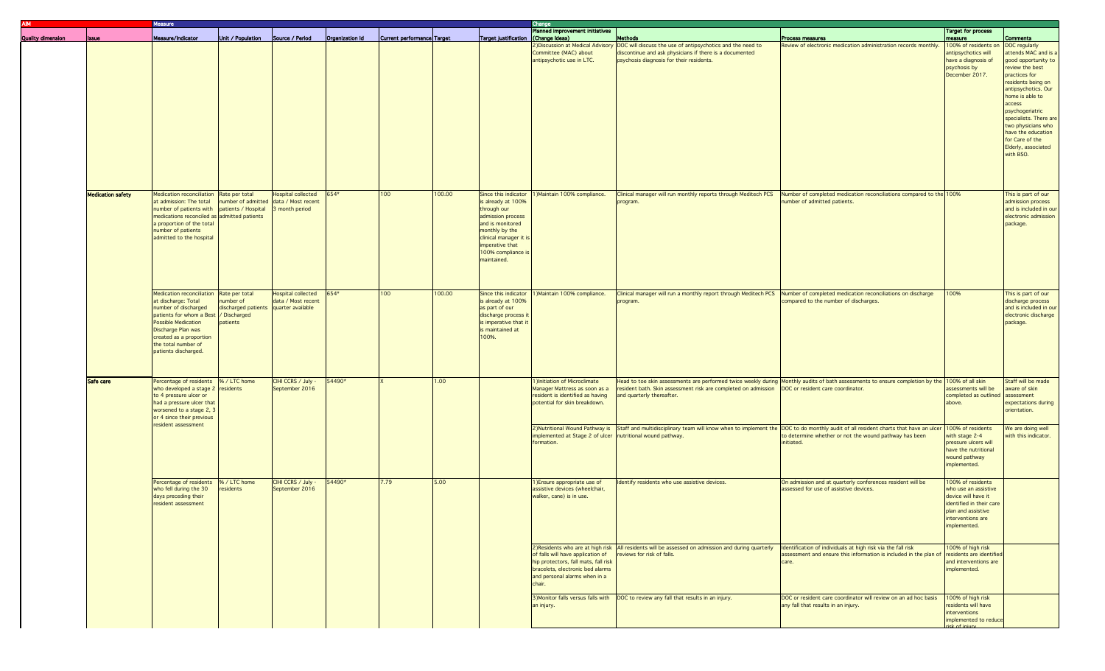|                          |                          | Vleasure                                                                                                                                                                                                                                         |                                                                                |                                                 |                 |                            |        |                                                                                                                                                                                                       | Change                                                                                                                                                                                              |                                                                                                                                                                                                                                                                                                                        |                                                                                                                                                |                                                                                                                                                         |                                                                                                                                                                                                                                                                                                                            |  |
|--------------------------|--------------------------|--------------------------------------------------------------------------------------------------------------------------------------------------------------------------------------------------------------------------------------------------|--------------------------------------------------------------------------------|-------------------------------------------------|-----------------|----------------------------|--------|-------------------------------------------------------------------------------------------------------------------------------------------------------------------------------------------------------|-----------------------------------------------------------------------------------------------------------------------------------------------------------------------------------------------------|------------------------------------------------------------------------------------------------------------------------------------------------------------------------------------------------------------------------------------------------------------------------------------------------------------------------|------------------------------------------------------------------------------------------------------------------------------------------------|---------------------------------------------------------------------------------------------------------------------------------------------------------|----------------------------------------------------------------------------------------------------------------------------------------------------------------------------------------------------------------------------------------------------------------------------------------------------------------------------|--|
| <b>Quality dimension</b> | <b>Issue</b>             | Measure/Indicator                                                                                                                                                                                                                                | Unit / Population                                                              | Source / Period                                 | Organization Id | Current performance Target |        | Target justification                                                                                                                                                                                  | Planned improvement initiatives<br>(Change Ideas)                                                                                                                                                   | <b>Methods</b>                                                                                                                                                                                                                                                                                                         | Process measures                                                                                                                               | <b>Target for process</b><br>measure                                                                                                                    | <b>Comments</b>                                                                                                                                                                                                                                                                                                            |  |
|                          |                          |                                                                                                                                                                                                                                                  |                                                                                |                                                 |                 |                            |        |                                                                                                                                                                                                       | Committee (MAC) about<br>antipsychotic use in LTC.                                                                                                                                                  | Obiscussion at Medical Advisory DOC will discuss the use of antipsychotics and the need to<br>discontinue and ask physicians if there is a documented<br>psychosis diagnosis for their residents.                                                                                                                      | Review of electronic medication administration records monthly.                                                                                | 100% of residents on<br>antipsychotics will<br>have a diagnosis of<br>psychosis by<br>December 2017.                                                    | DOC regularly<br>attends MAC and is a<br>good opportunity to<br>review the best<br>practices for<br>residents being on<br>antipsychotics. Our<br>home is able to<br>access<br>psychogeriatric<br>specialists. There are<br>two physicians who<br>have the education<br>for Care of the<br>Elderly, associated<br>with BSO. |  |
|                          | <b>Medication safety</b> | Medication reconciliation Rate per total<br>at admission: The total<br>number of patients with patients / Hospital<br>medications reconciled as admitted patients<br>a proportion of the total<br>number of patients<br>admitted to the hospital | number of admitted data / Most recent                                          | <b>Hospital collected</b><br>3 month period     | 654*            | 100                        | 100.00 | Since this indicator<br>is already at 100%<br>through our<br>admission process<br>and is monitored<br>monthly by the<br>clinical manager it i<br>imperative that<br>100% compliance is<br>maintained. | Maintain 100% compliance.                                                                                                                                                                           | Clinical manager will run monthly reports through Meditech PCS<br>program.                                                                                                                                                                                                                                             | Number of completed medication reconciliations compared to the 100%<br>number of admitted patients.                                            |                                                                                                                                                         | This is part of our<br>admission process<br>and is included in our<br>electronic admission<br>package.                                                                                                                                                                                                                     |  |
|                          |                          | Medication reconciliation Rate per total<br>at discharge: Total<br>number of discharged<br>patients for whom a Best<br>Possible Medication<br>Discharge Plan was<br>created as a proportion<br>the total number of<br>patients discharged.       | number of<br>discharged patients quarter available<br>/ Discharged<br>patients | <b>Hospital collected</b><br>data / Most recent | 654*            | 100                        | 100.00 | Since this indicator<br>is already at 100%<br>as part of our<br>discharge process i<br>is imperative that it<br>is maintained at<br>100%.                                                             | 1) Maintain 100% compliance.                                                                                                                                                                        | Clinical manager will run a monthly report through Meditech PCS<br>program.                                                                                                                                                                                                                                            | Number of completed medication reconciliations on discharge<br>compared to the number of discharges.                                           | 100%                                                                                                                                                    | This is part of our<br>discharge process<br>and is included in our<br>electronic discharge<br>package.                                                                                                                                                                                                                     |  |
|                          | Safe care                | Percentage of residents  % / LTC home<br>who developed a stage $2$ residents<br>to 4 pressure ulcer or<br>had a pressure ulcer that<br>worsened to a stage 2, 3<br>or 4 since their previous<br>resident assessment                              |                                                                                | CIHI CCRS / July -<br>September 2016            | 54490*          |                            | 1.00   |                                                                                                                                                                                                       | 1) Initiation of Microclimate<br>Manager Mattress as soon as a<br>resident is identified as having<br>potential for skin breakdown.<br>implemented at Stage 2 of ulcer   nutritional wound pathway. | resident bath. Skin assessment risk are completed on admission   DOC or resident care coordinator.<br>and quarterly thereafter.<br>2)Nutritional Wound Pathway is Staff and multidisciplinary team will know when to implement the DOC to do monthly audit of all resident charts that have an ulcer 100% of residents | Head to toe skin assessments are performed twice weekly during Monthly audits of bath assessments to ensure completion by the 100% of all skin | assessments will be<br>completed as outlined<br>above.                                                                                                  | Staff will be made<br>aware of skin<br>assessment<br>expectations during<br>orientation.<br>We are doing well<br>with this indicator.                                                                                                                                                                                      |  |
|                          |                          |                                                                                                                                                                                                                                                  |                                                                                |                                                 |                 |                            |        |                                                                                                                                                                                                       | formation.                                                                                                                                                                                          |                                                                                                                                                                                                                                                                                                                        | to determine whether or not the wound pathway has been<br>initiated.                                                                           | with stage 2-4<br>pressure ulcers will<br>have the nutritional<br>wound pathway<br>implemented.                                                         |                                                                                                                                                                                                                                                                                                                            |  |
|                          |                          | Percentage of residents  % / LTC home<br>who fell during the 30<br>days preceding their<br>resident assessment                                                                                                                                   | esidents                                                                       | CIHI CCRS / July -<br>September 2016            | 54490*          | 7.79                       | 5.00   |                                                                                                                                                                                                       | 1) Ensure appropriate use of<br>assistive devices (wheelchair,<br>walker, cane) is in use.                                                                                                          | Identify residents who use assistive devices.                                                                                                                                                                                                                                                                          | On admission and at quarterly conferences resident will be<br>assessed for use of assistive devices.                                           | 100% of residents<br>who use an assistive<br>device will have it<br>identified in their care<br>plan and assistive<br>interventions are<br>implemented. |                                                                                                                                                                                                                                                                                                                            |  |
|                          |                          |                                                                                                                                                                                                                                                  |                                                                                |                                                 |                 |                            |        |                                                                                                                                                                                                       | of falls will have application of<br>hip protectors, fall mats, fall risk<br>bracelets, electronic bed alarms<br>and personal alarms when in a<br>chair.                                            | 2) Residents who are at high risk All residents will be assessed on admission and during quarterly<br>reviews for risk of falls.                                                                                                                                                                                       | Identification of individuals at high risk via the fall risk<br>assessment and ensure this information is included in the plan of<br>care.     | 100% of high risk<br>residents are identified<br>and interventions are<br>implemented.                                                                  |                                                                                                                                                                                                                                                                                                                            |  |
|                          |                          |                                                                                                                                                                                                                                                  |                                                                                |                                                 |                 |                            |        |                                                                                                                                                                                                       | an injury.                                                                                                                                                                                          | 3) Monitor falls versus falls with   DOC to review any fall that results in an injury.                                                                                                                                                                                                                                 | DOC or resident care coordinator will review on an ad hoc basis<br>any fall that results in an injury.                                         | 100% of high risk<br>residents will have<br>interventions<br>implemented to reduce<br>$k$ of injury                                                     |                                                                                                                                                                                                                                                                                                                            |  |